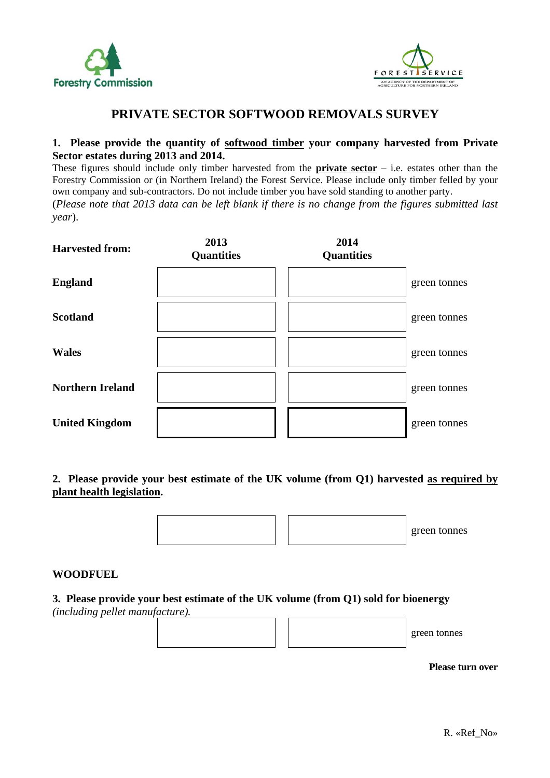



# **PRIVATE SECTOR SOFTWOOD REMOVALS SURVEY**

## **1. Please provide the quantity of softwood timber your company harvested from Private Sector estates during 2013 and 2014.**

These figures should include only timber harvested from the **private sector** – i.e. estates other than the Forestry Commission or (in Northern Ireland) the Forest Service. Please include only timber felled by your own company and sub-contractors. Do not include timber you have sold standing to another party. (*Please note that 2013 data can be left blank if there is no change from the figures submitted last year*).

| <b>Harvested from:</b>  | 2013<br><b>Quantities</b> | 2014<br><b>Quantities</b> |              |
|-------------------------|---------------------------|---------------------------|--------------|
| <b>England</b>          |                           |                           | green tonnes |
| <b>Scotland</b>         |                           |                           | green tonnes |
| <b>Wales</b>            |                           |                           | green tonnes |
| <b>Northern Ireland</b> |                           |                           | green tonnes |
| <b>United Kingdom</b>   |                           |                           | green tonnes |

**2. Please provide your best estimate of the UK volume (from Q1) harvested as required by plant health legislation.** 

green tonnes

## **WOODFUEL**

### **3. Please provide your best estimate of the UK volume (from Q1) sold for bioenergy**

*(including pellet manufacture).*

green tonnes

**Please turn over**